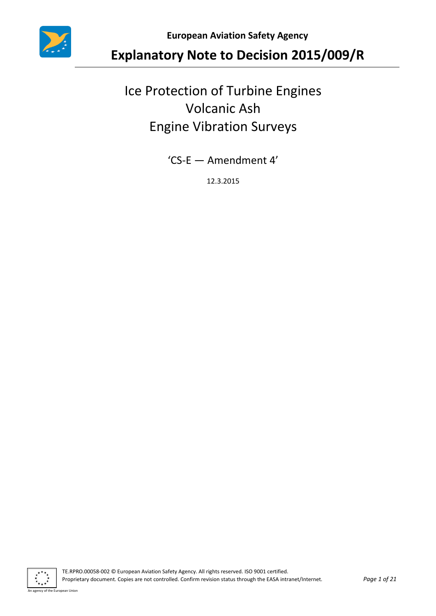

**European Aviation Safety Agency**

# **Explanatory Note to Decision 2015/009/R**

# Ice Protection of Turbine Engines Volcanic Ash Engine Vibration Surveys

'CS-E — Amendment 4'

12.3.2015

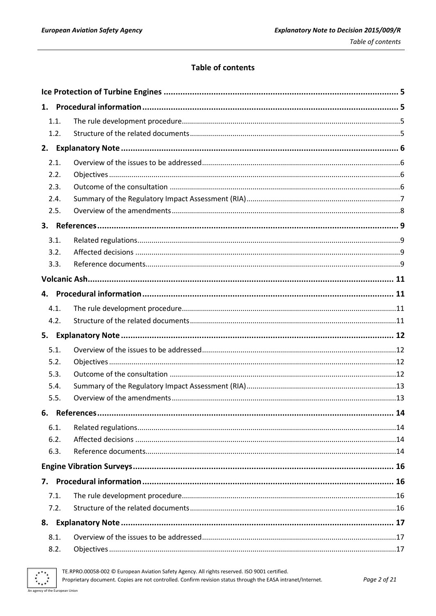### **Table of contents**

|    | 1.1. |                |    |  |
|----|------|----------------|----|--|
|    | 1.2. |                |    |  |
|    |      |                |    |  |
|    | 2.1. |                |    |  |
|    | 2.2. |                |    |  |
|    | 2.3. |                |    |  |
|    | 2.4. |                |    |  |
|    | 2.5. |                |    |  |
|    |      |                |    |  |
|    | 3.1. |                |    |  |
|    | 3.2. |                |    |  |
|    | 3.3. |                |    |  |
|    |      |                |    |  |
|    |      |                |    |  |
|    | 4.1. |                |    |  |
|    | 4.2. |                |    |  |
|    |      |                |    |  |
|    | 5.1. |                |    |  |
|    | 5.2. |                |    |  |
|    | 5.3. |                |    |  |
|    | 5.4. |                |    |  |
|    | 5.5. |                |    |  |
|    |      | 6. References. | 14 |  |
|    | 6.1. |                |    |  |
|    | 6.2. |                |    |  |
|    | 6.3. |                |    |  |
|    |      |                |    |  |
| 7. |      |                |    |  |
|    | 7.1. |                |    |  |
|    | 7.2. |                |    |  |
|    |      |                |    |  |
|    | 8.1. |                |    |  |
|    | 8.2. |                |    |  |



TE.RPRO.00058-002 © European Aviation Safety Agency. All rights reserved. ISO 9001 certified.

Proprietary document. Copies are not controlled. Confirm revision status through the EASA intranet/Internet.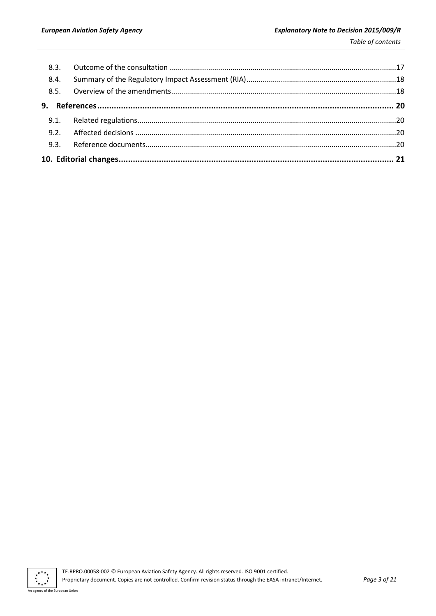| 8.4. |  |  |  |  |
|------|--|--|--|--|
|      |  |  |  |  |
|      |  |  |  |  |
|      |  |  |  |  |
|      |  |  |  |  |
|      |  |  |  |  |
|      |  |  |  |  |
|      |  |  |  |  |

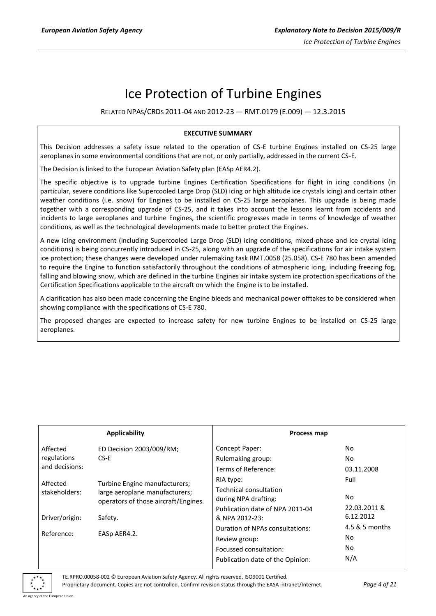# Ice Protection of Turbine Engines

RELATED NPAS/CRDS 2011-04 AND 2012-23 — RMT.0179 (E.009) — 12.3.2015

#### **EXECUTIVE SUMMARY**

This Decision addresses a safety issue related to the operation of CS-E turbine Engines installed on CS-25 large aeroplanes in some environmental conditions that are not, or only partially, addressed in the current CS-E.

The Decision is linked to the European Aviation Safety plan (EASp AER4.2).

The specific objective is to upgrade turbine Engines Certification Specifications for flight in icing conditions (in particular, severe conditions like Supercooled Large Drop (SLD) icing or high altitude ice crystals icing) and certain other weather conditions (i.e. snow) for Engines to be installed on CS-25 large aeroplanes. This upgrade is being made together with a corresponding upgrade of CS-25, and it takes into account the lessons learnt from accidents and incidents to large aeroplanes and turbine Engines, the scientific progresses made in terms of knowledge of weather conditions, as well as the technological developments made to better protect the Engines.

A new icing environment (including Supercooled Large Drop (SLD) icing conditions, mixed-phase and ice crystal icing conditions) is being concurrently introduced in CS-25, along with an upgrade of the specifications for air intake system ice protection; these changes were developed under rulemaking task RMT.0058 (25.058). CS-E 780 has been amended to require the Engine to function satisfactorily throughout the conditions of atmospheric icing, including freezing fog, falling and blowing snow, which are defined in the turbine Engines air intake system ice protection specifications of the Certification Specifications applicable to the aircraft on which the Engine is to be installed.

A clarification has also been made concerning the Engine bleeds and mechanical power offtakes to be considered when showing compliance with the specifications of CS-E 780.

The proposed changes are expected to increase safety for new turbine Engines to be installed on CS-25 large aeroplanes.

|                | <b>Applicability</b>                                                   | Process map                                       |                           |
|----------------|------------------------------------------------------------------------|---------------------------------------------------|---------------------------|
| Affected       | ED Decision 2003/009/RM;                                               | Concept Paper:                                    | No.                       |
| regulations    | CS-E                                                                   | Rulemaking group:                                 | No                        |
| and decisions: |                                                                        | Terms of Reference:                               | 03.11.2008                |
| Affected       | Turbine Engine manufacturers;                                          | RIA type:                                         | Full                      |
| stakeholders:  | large aeroplane manufacturers;<br>operators of those aircraft/Engines. | Technical consultation<br>during NPA drafting:    | No.                       |
| Driver/origin: | Safety.                                                                | Publication date of NPA 2011-04<br>& NPA 2012-23: | 22.03.2011 &<br>6.12.2012 |
| Reference:     | EASp AER4.2.                                                           | Duration of NPAs consultations:<br>Review group:  | 4.5 & 5 months<br>No      |
|                |                                                                        | Focussed consultation:                            | No                        |
|                |                                                                        | Publication date of the Opinion:                  | N/A                       |

of the European Union

TE.RPRO.00058-002 © European Aviation Safety Agency. All rights reserved. ISO9001 Certified.

Proprietary document. Copies are not controlled. Confirm revision status through the EASA intranet/Internet. *Page 4 of 21*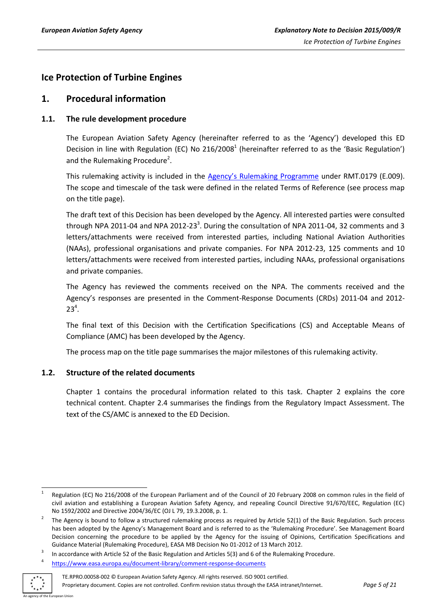# <span id="page-4-0"></span>**Ice Protection of Turbine Engines**

### <span id="page-4-1"></span>**1. Procedural information**

### <span id="page-4-2"></span>**1.1. The rule development procedure**

The European Aviation Safety Agency (hereinafter referred to as the 'Agency') developed this ED Decision in line with Regulation (EC) No 216/2008<sup>1</sup> (hereinafter referred to as the 'Basic Regulation') and the Rulemaking Procedure<sup>2</sup>.

This rulemaking activity is included in the Age[ncy's Rulemaking Programme](https://www.easa.europa.eu/document-library/rulemaking-programmes/revised-2014-2017-rulemaking-programme) under RMT.0179 (E.009). The scope and timescale of the task were defined in the related Terms of Reference (see process map on the title page).

The draft text of this Decision has been developed by the Agency. All interested parties were consulted through NPA 2011-04 and NPA 2012-23<sup>3</sup>. During the consultation of NPA 2011-04, 32 comments and 3 letters/attachments were received from interested parties, including National Aviation Authorities (NAAs), professional organisations and private companies. For NPA 2012-23, 125 comments and 10 letters/attachments were received from interested parties, including NAAs, professional organisations and private companies.

The Agency has reviewed the comments received on the NPA. The comments received and the Agency's responses are presented in the Comment-Response Documents (CRDs) 2011-04 and 2012-  $23^4$ .

The final text of this Decision with the Certification Specifications (CS) and Acceptable Means of Compliance (AMC) has been developed by the Agency.

The process map on the title page summarises the major milestones of this rulemaking activity.

#### <span id="page-4-3"></span>**1.2. Structure of the related documents**

Chapter 1 contains the procedural information related to this task. Chapter 2 explains the core technical content. Chapter 2.4 summarises the findings from the Regulatory Impact Assessment. The text of the CS/AMC is annexed to the ED Decision.

<https://www.easa.europa.eu/document-library/comment-response-documents>



4

<sup>1</sup> 1 Regulation (EC) No 216/2008 of the European Parliament and of the Council of 20 February 2008 on common rules in the field of civil aviation and establishing a European Aviation Safety Agency, and repealing Council Directive 91/670/EEC, Regulation (EC) No 1592/2002 and Directive 2004/36/EC (OJ L 79, 19.3.2008, p. 1.

<sup>2</sup> The Agency is bound to follow a structured rulemaking process as required by Article 52(1) of the Basic Regulation. Such process has been adopted by the Agency's Management Board and is referred to as the 'Rulemaking Procedure'. See Management Board Decision concerning the procedure to be applied by the Agency for the issuing of Opinions, Certification Specifications and Guidance Material (Rulemaking Procedure), EASA MB Decision No 01-2012 of 13 March 2012.

<sup>3</sup> In accordance with Article 52 of the Basic Regulation and Articles 5(3) and 6 of the Rulemaking Procedure.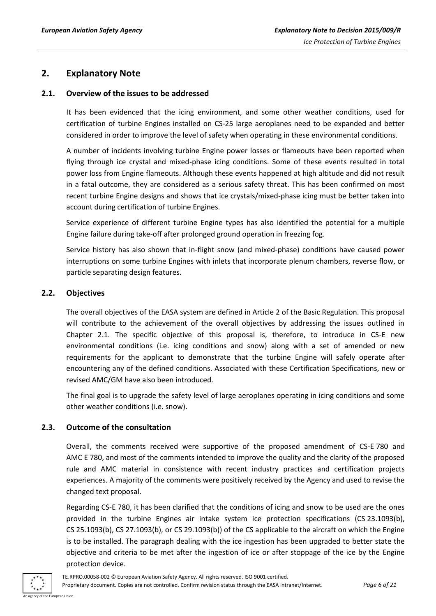# <span id="page-5-0"></span>**2. Explanatory Note**

#### <span id="page-5-1"></span>**2.1. Overview of the issues to be addressed**

It has been evidenced that the icing environment, and some other weather conditions, used for certification of turbine Engines installed on CS-25 large aeroplanes need to be expanded and better considered in order to improve the level of safety when operating in these environmental conditions.

A number of incidents involving turbine Engine power losses or flameouts have been reported when flying through ice crystal and mixed-phase icing conditions. Some of these events resulted in total power loss from Engine flameouts. Although these events happened at high altitude and did not result in a fatal outcome, they are considered as a serious safety threat. This has been confirmed on most recent turbine Engine designs and shows that ice crystals/mixed-phase icing must be better taken into account during certification of turbine Engines.

Service experience of different turbine Engine types has also identified the potential for a multiple Engine failure during take-off after prolonged ground operation in freezing fog.

Service history has also shown that in-flight snow (and mixed-phase) conditions have caused power interruptions on some turbine Engines with inlets that incorporate plenum chambers, reverse flow, or particle separating design features.

#### <span id="page-5-2"></span>**2.2. Objectives**

The overall objectives of the EASA system are defined in Article 2 of the Basic Regulation. This proposal will contribute to the achievement of the overall objectives by addressing the issues outlined in Chapter 2.1. The specific objective of this proposal is, therefore, to introduce in CS-E new environmental conditions (i.e. icing conditions and snow) along with a set of amended or new requirements for the applicant to demonstrate that the turbine Engine will safely operate after encountering any of the defined conditions. Associated with these Certification Specifications, new or revised AMC/GM have also been introduced.

The final goal is to upgrade the safety level of large aeroplanes operating in icing conditions and some other weather conditions (i.e. snow).

#### <span id="page-5-3"></span>**2.3. Outcome of the consultation**

Overall, the comments received were supportive of the proposed amendment of CS-E 780 and AMC E 780, and most of the comments intended to improve the quality and the clarity of the proposed rule and AMC material in consistence with recent industry practices and certification projects experiences. A majority of the comments were positively received by the Agency and used to revise the changed text proposal.

Regarding CS-E 780, it has been clarified that the conditions of icing and snow to be used are the ones provided in the turbine Engines air intake system ice protection specifications (CS 23.1093(b), CS 25.1093(b), CS 27.1093(b), or CS 29.1093(b)) of the CS applicable to the aircraft on which the Engine is to be installed. The paragraph dealing with the ice ingestion has been upgraded to better state the objective and criteria to be met after the ingestion of ice or after stoppage of the ice by the Engine protection device.

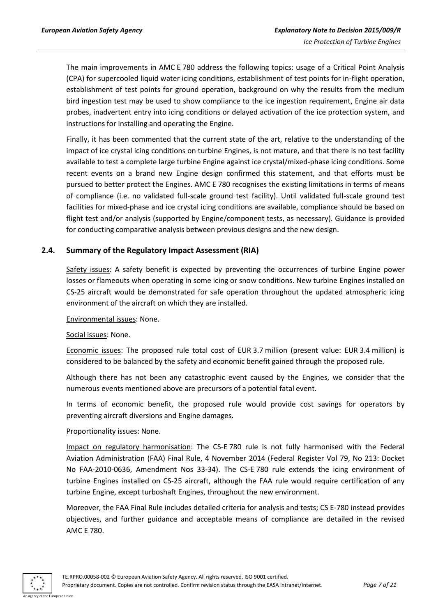The main improvements in AMC E 780 address the following topics: usage of a Critical Point Analysis (CPA) for supercooled liquid water icing conditions, establishment of test points for in-flight operation, establishment of test points for ground operation, background on why the results from the medium bird ingestion test may be used to show compliance to the ice ingestion requirement, Engine air data probes, inadvertent entry into icing conditions or delayed activation of the ice protection system, and instructions for installing and operating the Engine.

Finally, it has been commented that the current state of the art, relative to the understanding of the impact of ice crystal icing conditions on turbine Engines, is not mature, and that there is no test facility available to test a complete large turbine Engine against ice crystal/mixed-phase icing conditions. Some recent events on a brand new Engine design confirmed this statement, and that efforts must be pursued to better protect the Engines. AMC E 780 recognises the existing limitations in terms of means of compliance (i.e. no validated full-scale ground test facility). Until validated full-scale ground test facilities for mixed-phase and ice crystal icing conditions are available, compliance should be based on flight test and/or analysis (supported by Engine/component tests, as necessary). Guidance is provided for conducting comparative analysis between previous designs and the new design.

#### <span id="page-6-0"></span>**2.4. Summary of the Regulatory Impact Assessment (RIA)**

Safety issues: A safety benefit is expected by preventing the occurrences of turbine Engine power losses or flameouts when operating in some icing or snow conditions. New turbine Engines installed on CS-25 aircraft would be demonstrated for safe operation throughout the updated atmospheric icing environment of the aircraft on which they are installed.

Environmental issues: None.

Social issues: None.

Economic issues: The proposed rule total cost of EUR 3.7 million (present value: EUR 3.4 million) is considered to be balanced by the safety and economic benefit gained through the proposed rule.

Although there has not been any catastrophic event caused by the Engines, we consider that the numerous events mentioned above are precursors of a potential fatal event.

In terms of economic benefit, the proposed rule would provide cost savings for operators by preventing aircraft diversions and Engine damages.

#### Proportionality issues: None.

Impact on regulatory harmonisation: The CS-E 780 rule is not fully harmonised with the Federal Aviation Administration (FAA) Final Rule, 4 November 2014 (Federal Register Vol 79, No 213: Docket No FAA-2010-0636, Amendment Nos 33-34). The CS-E 780 rule extends the icing environment of turbine Engines installed on CS-25 aircraft, although the FAA rule would require certification of any turbine Engine, except turboshaft Engines, throughout the new environment.

Moreover, the FAA Final Rule includes detailed criteria for analysis and tests; CS E-780 instead provides objectives, and further guidance and acceptable means of compliance are detailed in the revised AMC E 780.



TE.RPRO.00058-002 © European Aviation Safety Agency. All rights reserved. ISO 9001 certified. Proprietary document. Copies are not controlled. Confirm revision status through the EASA intranet/Internet. *Page 7 of 21*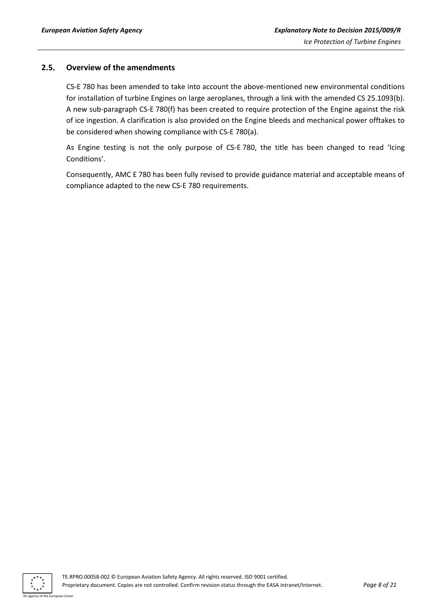#### <span id="page-7-0"></span>**2.5. Overview of the amendments**

CS-E 780 has been amended to take into account the above-mentioned new environmental conditions for installation of turbine Engines on large aeroplanes, through a link with the amended CS 25.1093(b). A new sub-paragraph CS-E 780(f) has been created to require protection of the Engine against the risk of ice ingestion. A clarification is also provided on the Engine bleeds and mechanical power offtakes to be considered when showing compliance with CS-E 780(a).

As Engine testing is not the only purpose of CS-E 780, the title has been changed to read 'Icing Conditions'.

Consequently, AMC E 780 has been fully revised to provide guidance material and acceptable means of compliance adapted to the new CS-E 780 requirements.

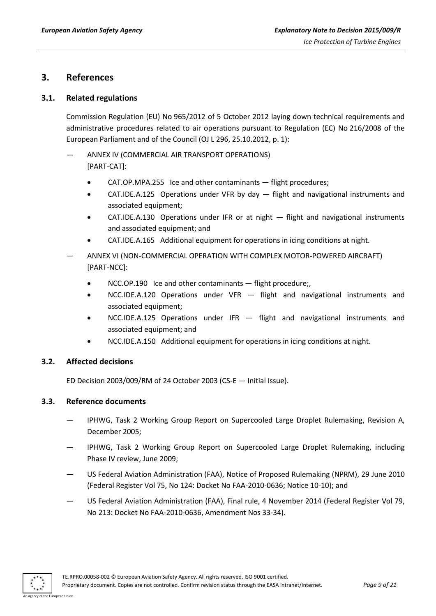## <span id="page-8-0"></span>**3. References**

#### <span id="page-8-1"></span>**3.1. Related regulations**

Commission Regulation (EU) No 965/2012 of 5 October 2012 laying down technical requirements and administrative procedures related to air operations pursuant to Regulation (EC) No 216/2008 of the European Parliament and of the Council (OJ L 296, 25.10.2012, p. 1):

- ANNEX IV (COMMERCIAL AIR TRANSPORT OPERATIONS) [PART-CAT]:
	- CAT.OP.MPA.255 Ice and other contaminants flight procedures;
	- CAT.IDE.A.125 Operations under VFR by day flight and navigational instruments and associated equipment;
	- CAT.IDE.A.130 Operations under IFR or at night flight and navigational instruments and associated equipment; and
	- CAT.IDE.A.165 Additional equipment for operations in icing conditions at night.
- ANNEX VI (NON-COMMERCIAL OPERATION WITH COMPLEX MOTOR-POWERED AIRCRAFT) [PART-NCC]:
	- NCC.OP.190 Ice and other contaminants flight procedure;,
	- NCC.IDE.A.120 Operations under VFR flight and navigational instruments and associated equipment;
	- NCC.IDE.A.125 Operations under IFR flight and navigational instruments and associated equipment; and
	- NCC.IDE.A.150 Additional equipment for operations in icing conditions at night.

#### <span id="page-8-2"></span>**3.2. Affected decisions**

ED Decision 2003/009/RM of 24 October 2003 (CS-E — Initial Issue).

#### <span id="page-8-3"></span>**3.3. Reference documents**

- IPHWG, Task 2 Working Group Report on Supercooled Large Droplet Rulemaking, Revision A, December 2005;
- IPHWG, Task 2 Working Group Report on Supercooled Large Droplet Rulemaking, including Phase IV review, June 2009;
- US Federal Aviation Administration (FAA), Notice of Proposed Rulemaking (NPRM), 29 June 2010 (Federal Register Vol 75, No 124: Docket No FAA-2010-0636; Notice 10-10); and
- US Federal Aviation Administration (FAA), Final rule, 4 November 2014 (Federal Register Vol 79, No 213: Docket No FAA-2010-0636, Amendment Nos 33-34).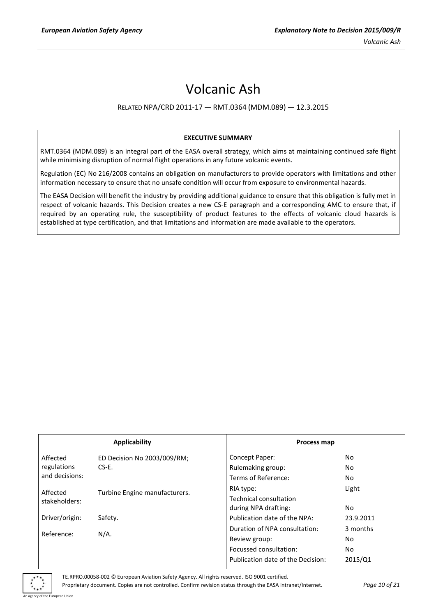# Volcanic Ash

#### RELATED NPA/CRD 2011-17 — RMT.0364 (MDM.089) — 12.3.2015

#### **EXECUTIVE SUMMARY**

RMT.0364 (MDM.089) is an integral part of the EASA overall strategy, which aims at maintaining continued safe flight while minimising disruption of normal flight operations in any future volcanic events.

Regulation (EC) No 216/2008 contains an obligation on manufacturers to provide operators with limitations and other information necessary to ensure that no unsafe condition will occur from exposure to environmental hazards.

The EASA Decision will benefit the industry by providing additional guidance to ensure that this obligation is fully met in respect of volcanic hazards. This Decision creates a new CS-E paragraph and a corresponding AMC to ensure that, if required by an operating rule, the susceptibility of product features to the effects of volcanic cloud hazards is established at type certification, and that limitations and information are made available to the operators.

| Applicability  |                               |                                                | Process map |  |
|----------------|-------------------------------|------------------------------------------------|-------------|--|
| Affected       | ED Decision No 2003/009/RM;   | Concept Paper:                                 | No          |  |
| regulations    | $CS-E$ .                      | Rulemaking group:                              | No          |  |
| and decisions: |                               | Terms of Reference:                            | No          |  |
| Affected       | Turbine Engine manufacturers. | RIA type:                                      | Light       |  |
| stakeholders:  |                               | Technical consultation<br>during NPA drafting: | No          |  |
| Driver/origin: | Safety.                       | Publication date of the NPA:                   | 23.9.2011   |  |
|                | $N/A$ .                       | Duration of NPA consultation:                  | 3 months    |  |
| Reference:     |                               | Review group:                                  | No          |  |
|                |                               | Focussed consultation:                         | No          |  |
|                |                               | Publication date of the Decision:              | 2015/Q1     |  |

TE.RPRO.00058-002 © European Aviation Safety Agency. All rights reserved. ISO 9001 certified.

Proprietary document. Copies are not controlled. Confirm revision status through the EASA intranet/Internet. *Page 10 of 21*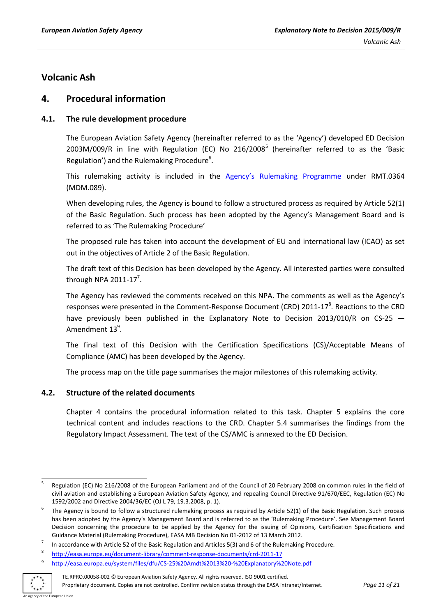# <span id="page-10-0"></span>**Volcanic Ash**

## <span id="page-10-1"></span>**4. Procedural information**

### <span id="page-10-2"></span>**4.1. The rule development procedure**

The European Aviation Safety Agency (hereinafter referred to as the 'Agency') developed ED Decision  $2003M/009/R$  in line with Regulation (EC) No  $216/2008<sup>5</sup>$  (hereinafter referred to as the 'Basic Regulation') and the Rulemaking Procedure<sup>6</sup>.

This rulemaking activity is included in the [Agency's Rulemaking Programme](http://easa.europa.eu/document-library/rulemaking-programmes/revised-2014-2017-rulemaking-programme) under RMT.0364 (MDM.089).

When developing rules, the Agency is bound to follow a structured process as required by Article 52(1) of the Basic Regulation. Such process has been adopted by the Agency's Management Board and is referred to as 'The Rulemaking Procedure'

The proposed rule has taken into account the development of EU and international law (ICAO) as set out in the objectives of Article 2 of the Basic Regulation.

The draft text of this Decision has been developed by the Agency. All interested parties were consulted through NPA 2011-17<sup>7</sup>.

The Agency has reviewed the comments received on this NPA. The comments as well as the Agency's responses were presented in the Comment-Response Document (CRD) 2011-17<sup>8</sup>. Reactions to the CRD have previously been published in the Explanatory Note to Decision 2013/010/R on CS-25 -Amendment  $13^9$ .

The final text of this Decision with the Certification Specifications (CS)/Acceptable Means of Compliance (AMC) has been developed by the Agency.

The process map on the title page summarises the major milestones of this rulemaking activity.

#### <span id="page-10-3"></span>**4.2. Structure of the related documents**

Chapter 4 contains the procedural information related to this task. Chapter 5 explains the core technical content and includes reactions to the CRD. Chapter 5.4 summarises the findings from the Regulatory Impact Assessment. The text of the CS/AMC is annexed to the ED Decision.

<sup>9</sup> <http://easa.europa.eu/system/files/dfu/CS-25%20Amdt%2013%20-%20Explanatory%20Note.pdf>



TE.RPRO.00058-002 © European Aviation Safety Agency. All rights reserved. ISO 9001 certified.

Proprietary document. Copies are not controlled. Confirm revision status through the EASA intranet/Internet. *Page 11 of 21* agency of the European Union

<sup>1</sup> 5 Regulation (EC) No 216/2008 of the European Parliament and of the Council of 20 February 2008 on common rules in the field of civil aviation and establishing a European Aviation Safety Agency, and repealing Council Directive 91/670/EEC, Regulation (EC) No 1592/2002 and Directive 2004/36/EC (OJ L 79, 19.3.2008, p. 1).

<sup>6</sup> The Agency is bound to follow a structured rulemaking process as required by Article 52(1) of the Basic Regulation. Such process has been adopted by the Agency's Management Board and is referred to as the 'Rulemaking Procedure'. See Management Board Decision concerning the procedure to be applied by the Agency for the issuing of Opinions, Certification Specifications and Guidance Material (Rulemaking Procedure), EASA MB Decision No 01-2012 of 13 March 2012.

<sup>7</sup> In accordance with Article 52 of the Basic Regulation and Articles 5(3) and 6 of the Rulemaking Procedure.

<sup>8</sup> <http://easa.europa.eu/document-library/comment-response-documents/crd-2011-17>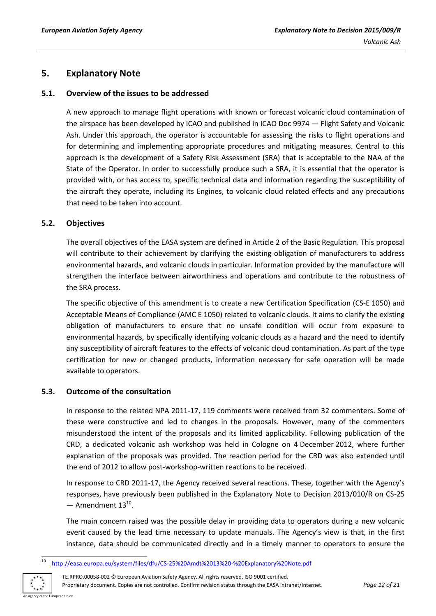# <span id="page-11-0"></span>**5. Explanatory Note**

#### <span id="page-11-1"></span>**5.1. Overview of the issues to be addressed**

A new approach to manage flight operations with known or forecast volcanic cloud contamination of the airspace has been developed by ICAO and published in ICAO Doc 9974 — Flight Safety and Volcanic Ash. Under this approach, the operator is accountable for assessing the risks to flight operations and for determining and implementing appropriate procedures and mitigating measures. Central to this approach is the development of a Safety Risk Assessment (SRA) that is acceptable to the NAA of the State of the Operator. In order to successfully produce such a SRA, it is essential that the operator is provided with, or has access to, specific technical data and information regarding the susceptibility of the aircraft they operate, including its Engines, to volcanic cloud related effects and any precautions that need to be taken into account.

#### <span id="page-11-2"></span>**5.2. Objectives**

The overall objectives of the EASA system are defined in Article 2 of the Basic Regulation. This proposal will contribute to their achievement by clarifying the existing obligation of manufacturers to address environmental hazards, and volcanic clouds in particular. Information provided by the manufacture will strengthen the interface between airworthiness and operations and contribute to the robustness of the SRA process.

The specific objective of this amendment is to create a new Certification Specification (CS-E 1050) and Acceptable Means of Compliance (AMC E 1050) related to volcanic clouds. It aims to clarify the existing obligation of manufacturers to ensure that no unsafe condition will occur from exposure to environmental hazards, by specifically identifying volcanic clouds as a hazard and the need to identify any susceptibility of aircraft features to the effects of volcanic cloud contamination. As part of the type certification for new or changed products, information necessary for safe operation will be made available to operators.

#### <span id="page-11-3"></span>**5.3. Outcome of the consultation**

In response to the related NPA 2011-17, 119 comments were received from 32 commenters. Some of these were constructive and led to changes in the proposals. However, many of the commenters misunderstood the intent of the proposals and its limited applicability. Following publication of the CRD, a dedicated volcanic ash workshop was held in Cologne on 4 December 2012, where further explanation of the proposals was provided. The reaction period for the CRD was also extended until the end of 2012 to allow post-workshop-written reactions to be received.

In response to CRD 2011-17, the Agency received several reactions. These, together with the Agency's responses, have previously been published in the Explanatory Note to Decision 2013/010/R on CS-25  $-$  Amendment  $13^{10}$ .

The main concern raised was the possible delay in providing data to operators during a new volcanic event caused by the lead time necessary to update manuals. The Agency's view is that, in the first instance, data should be communicated directly and in a timely manner to operators to ensure the

 $10$ <sup>10</sup> <http://easa.europa.eu/system/files/dfu/CS-25%20Amdt%2013%20-%20Explanatory%20Note.pdf>



TE.RPRO.00058-002 © European Aviation Safety Agency. All rights reserved. ISO 9001 certified. Proprietary document. Copies are not controlled. Confirm revision status through the EASA intranet/Internet. *Page 12 of 21*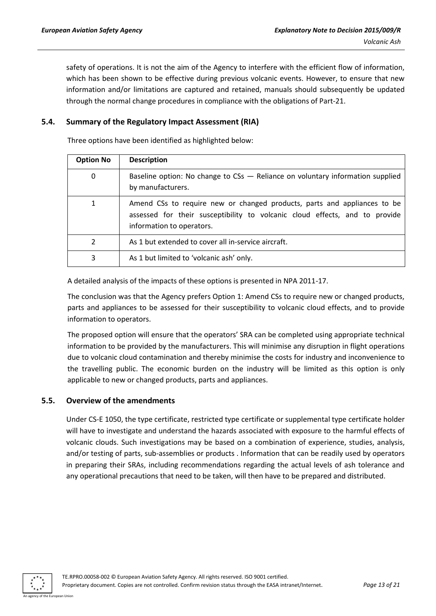safety of operations. It is not the aim of the Agency to interfere with the efficient flow of information, which has been shown to be effective during previous volcanic events. However, to ensure that new information and/or limitations are captured and retained, manuals should subsequently be updated through the normal change procedures in compliance with the obligations of Part-21.

#### <span id="page-12-0"></span>**5.4. Summary of the Regulatory Impact Assessment (RIA)**

Three options have been identified as highlighted below:

| <b>Option No</b> | <b>Description</b>                                                                                                                                                                   |
|------------------|--------------------------------------------------------------------------------------------------------------------------------------------------------------------------------------|
| 0                | Baseline option: No change to CSs - Reliance on voluntary information supplied<br>by manufacturers.                                                                                  |
|                  | Amend CSs to require new or changed products, parts and appliances to be<br>assessed for their susceptibility to volcanic cloud effects, and to provide<br>information to operators. |
| 2                | As 1 but extended to cover all in-service aircraft.                                                                                                                                  |
| 3                | As 1 but limited to 'volcanic ash' only.                                                                                                                                             |

A detailed analysis of the impacts of these options is presented in NPA 2011-17.

The conclusion was that the Agency prefers Option 1: Amend CSs to require new or changed products, parts and appliances to be assessed for their susceptibility to volcanic cloud effects, and to provide information to operators.

The proposed option will ensure that the operators' SRA can be completed using appropriate technical information to be provided by the manufacturers. This will minimise any disruption in flight operations due to volcanic cloud contamination and thereby minimise the costs for industry and inconvenience to the travelling public. The economic burden on the industry will be limited as this option is only applicable to new or changed products, parts and appliances.

#### <span id="page-12-1"></span>**5.5. Overview of the amendments**

Under CS-E 1050, the type certificate, restricted type certificate or supplemental type certificate holder will have to investigate and understand the hazards associated with exposure to the harmful effects of volcanic clouds. Such investigations may be based on a combination of experience, studies, analysis, and/or testing of parts, sub-assemblies or products . Information that can be readily used by operators in preparing their SRAs, including recommendations regarding the actual levels of ash tolerance and any operational precautions that need to be taken, will then have to be prepared and distributed.

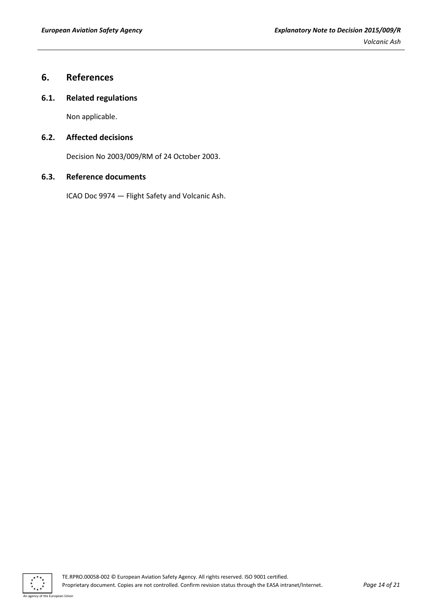# <span id="page-13-0"></span>**6. References**

#### <span id="page-13-1"></span>**6.1. Related regulations**

Non applicable.

#### <span id="page-13-2"></span>**6.2. Affected decisions**

Decision No 2003/009/RM of 24 October 2003.

#### <span id="page-13-3"></span>**6.3. Reference documents**

ICAO Doc 9974 — Flight Safety and Volcanic Ash.

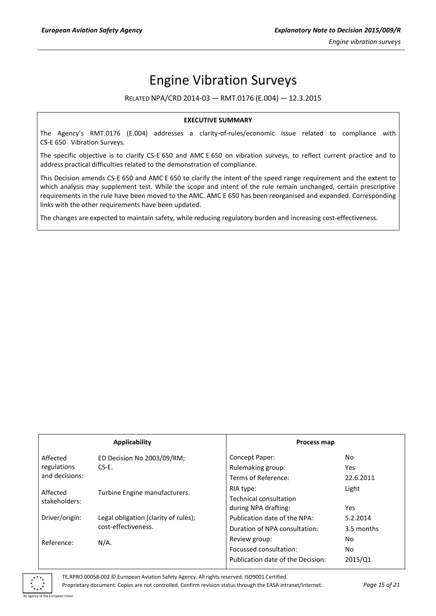# Engine Vibration Surveys

RELATED NPA/CRD 2014-03 — RMT.0176 (E.004) — 12.3.2015

#### **EXECUTIVE SUMMARY**

The Agency's RMT.0176 (E.004) addresses a clarity-of-rules/economic issue related to compliance with CS-E 650 Vibration Surveys.

The specific objective is to clarify CS-E 650 and AMC E 650 on vibration surveys, to reflect current practice and to address practical difficulties related to the demonstration of compliance.

This Decision amends CS-E 650 and AMC E 650 to clarify the intent of the speed range requirement and the extent to which analysis may supplement test. While the scope and intent of the rule remain unchanged, certain prescriptive requirements in the rule have been moved to the AMC. AMC E 650 has been reorganised and expanded. Corresponding links with the other requirements have been updated.

The changes are expected to maintain safety, while reducing regulatory burden and increasing cost-effectiveness.

| Applicability  |                                      |                                                | Process map |  |
|----------------|--------------------------------------|------------------------------------------------|-------------|--|
| Affected       | ED Decision No 2003/09/RM;           | Concept Paper:                                 | No.         |  |
| regulations    | $CS-E$ .                             | Rulemaking group:                              | <b>Yes</b>  |  |
| and decisions: |                                      | Terms of Reference:                            | 22.6.2011   |  |
| Affected       | Turbine Engine manufacturers.        | RIA type:                                      | Light       |  |
| stakeholders:  |                                      | Technical consultation<br>during NPA drafting: | <b>Yes</b>  |  |
| Driver/origin: | Legal obligation (clarity of rules); | Publication date of the NPA:                   | 5.2.2014    |  |
|                | cost-effectiveness.                  | Duration of NPA consultation:                  | 3.5 months  |  |
| Reference:     | $N/A$ .                              | Review group:                                  | No.         |  |
|                |                                      | Focussed consultation:                         | No.         |  |
|                |                                      | Publication date of the Decision:              | 2015/Q1     |  |

TE.RPRO.00058-002 © European Aviation Safety Agency. All rights reserved. ISO9001 Certified.

Proprietary document. Copies are not controlled. Confirm revision status through the EASA intranet/Internet. *Page 15 of 21*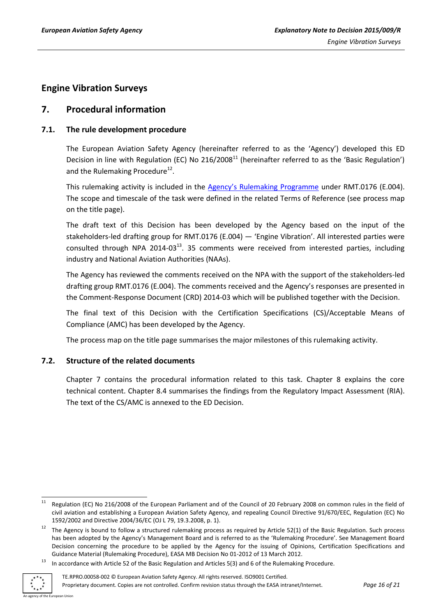# <span id="page-15-0"></span>**Engine Vibration Surveys**

# <span id="page-15-1"></span>**7. Procedural information**

### <span id="page-15-2"></span>**7.1. The rule development procedure**

The European Aviation Safety Agency (hereinafter referred to as the 'Agency') developed this ED Decision in line with Regulation (EC) No 216/2008<sup>11</sup> (hereinafter referred to as the 'Basic Regulation') and the Rulemaking Procedure<sup>12</sup>.

This rulemaking activity is included in the [Agency's Rulemaking Programme](http://easa.europa.eu/document-library/rulemaking-programmes/revised-2014-2017-rulemaking-programme) under RMT.0176 (E.004). The scope and timescale of the task were defined in the related Terms of Reference (see process map on the title page).

The draft text of this Decision has been developed by the Agency based on the input of the stakeholders-led drafting group for RMT.0176 (E.004) — 'Engine Vibration'. All interested parties were consulted through NPA 2014-03 $^{13}$ . 35 comments were received from interested parties, including industry and National Aviation Authorities (NAAs).

The Agency has reviewed the comments received on the NPA with the support of the stakeholders-led drafting group RMT.0176 (E.004). The comments received and the Agency's responses are presented in the Comment-Response Document (CRD) 2014-03 which will be published together with the Decision.

The final text of this Decision with the Certification Specifications (CS)/Acceptable Means of Compliance (AMC) has been developed by the Agency.

The process map on the title page summarises the major milestones of this rulemaking activity.

#### <span id="page-15-3"></span>**7.2. Structure of the related documents**

Chapter 7 contains the procedural information related to this task. Chapter 8 explains the core technical content. Chapter 8.4 summarises the findings from the Regulatory Impact Assessment (RIA). The text of the CS/AMC is annexed to the ED Decision.

<sup>&</sup>lt;sup>13</sup> In accordance with Article 52 of the Basic Regulation and Articles 5(3) and 6 of the Rulemaking Procedure.



 $11$ Regulation (EC) No 216/2008 of the European Parliament and of the Council of 20 February 2008 on common rules in the field of civil aviation and establishing a European Aviation Safety Agency, and repealing Council Directive 91/670/EEC, Regulation (EC) No 1592/2002 and Directive 2004/36/EC (OJ L 79, 19.3.2008, p. 1).

 $12$  The Agency is bound to follow a structured rulemaking process as required by Article 52(1) of the Basic Regulation. Such process has been adopted by the Agency's Management Board and is referred to as the 'Rulemaking Procedure'. See Management Board Decision concerning the procedure to be applied by the Agency for the issuing of Opinions, Certification Specifications and Guidance Material (Rulemaking Procedure), EASA MB Decision No 01-2012 of 13 March 2012.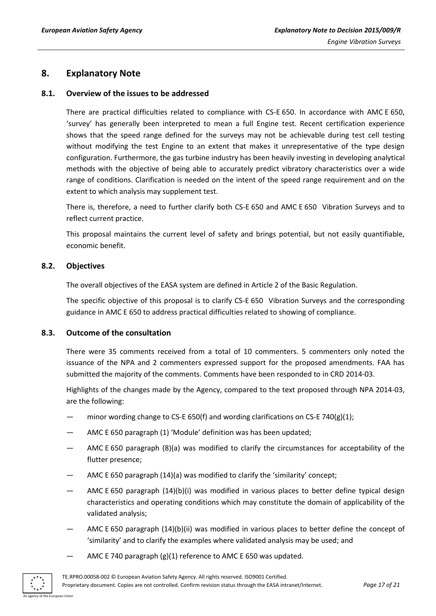### <span id="page-16-0"></span>**8. Explanatory Note**

#### <span id="page-16-1"></span>**8.1. Overview of the issues to be addressed**

There are practical difficulties related to compliance with CS-E 650. In accordance with AMC E 650, 'survey' has generally been interpreted to mean a full Engine test. Recent certification experience shows that the speed range defined for the surveys may not be achievable during test cell testing without modifying the test Engine to an extent that makes it unrepresentative of the type design configuration. Furthermore, the gas turbine industry has been heavily investing in developing analytical methods with the objective of being able to accurately predict vibratory characteristics over a wide range of conditions. Clarification is needed on the intent of the speed range requirement and on the extent to which analysis may supplement test.

There is, therefore, a need to further clarify both CS-E 650 and AMC E 650 Vibration Surveys and to reflect current practice.

This proposal maintains the current level of safety and brings potential, but not easily quantifiable, economic benefit.

#### <span id="page-16-2"></span>**8.2. Objectives**

The overall objectives of the EASA system are defined in Article 2 of the Basic Regulation.

The specific objective of this proposal is to clarify CS-E 650 Vibration Surveys and the corresponding guidance in AMC E 650 to address practical difficulties related to showing of compliance.

#### <span id="page-16-3"></span>**8.3. Outcome of the consultation**

There were 35 comments received from a total of 10 commenters. 5 commenters only noted the issuance of the NPA and 2 commenters expressed support for the proposed amendments. FAA has submitted the majority of the comments. Comments have been responded to in CRD 2014-03.

Highlights of the changes made by the Agency, compared to the text proposed through NPA 2014-03, are the following:

- minor wording change to CS-E 650(f) and wording clarifications on CS-E 740(g)(1);
- AMC E 650 paragraph (1) 'Module' definition was has been updated;
- AMC E 650 paragraph (8)(a) was modified to clarify the circumstances for acceptability of the flutter presence;
- AMC E 650 paragraph (14)(a) was modified to clarify the 'similarity' concept;
- AMC E 650 paragraph (14)(b)(i) was modified in various places to better define typical design characteristics and operating conditions which may constitute the domain of applicability of the validated analysis;
- AMC E 650 paragraph (14)(b)(ii) was modified in various places to better define the concept of 'similarity' and to clarify the examples where validated analysis may be used; and
- AMC E 740 paragraph (g)(1) reference to AMC E 650 was updated.

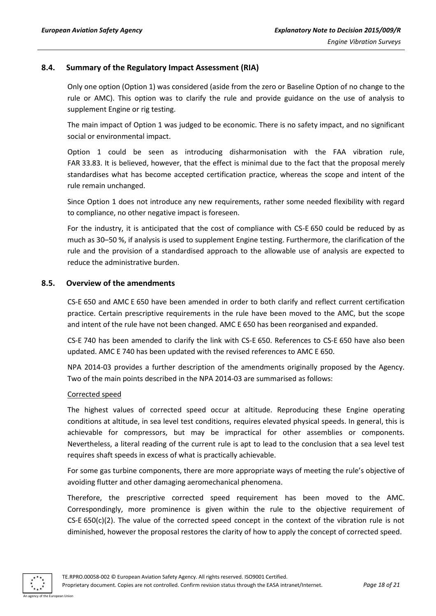#### <span id="page-17-0"></span>**8.4. Summary of the Regulatory Impact Assessment (RIA)**

Only one option (Option 1) was considered (aside from the zero or Baseline Option of no change to the rule or AMC). This option was to clarify the rule and provide guidance on the use of analysis to supplement Engine or rig testing.

The main impact of Option 1 was judged to be economic. There is no safety impact, and no significant social or environmental impact.

Option 1 could be seen as introducing disharmonisation with the FAA vibration rule, FAR 33.83. It is believed, however, that the effect is minimal due to the fact that the proposal merely standardises what has become accepted certification practice, whereas the scope and intent of the rule remain unchanged.

Since Option 1 does not introduce any new requirements, rather some needed flexibility with regard to compliance, no other negative impact is foreseen.

For the industry, it is anticipated that the cost of compliance with CS-E 650 could be reduced by as much as 30–50 %, if analysis is used to supplement Engine testing. Furthermore, the clarification of the rule and the provision of a standardised approach to the allowable use of analysis are expected to reduce the administrative burden.

#### <span id="page-17-1"></span>**8.5. Overview of the amendments**

CS-E 650 and AMC E 650 have been amended in order to both clarify and reflect current certification practice. Certain prescriptive requirements in the rule have been moved to the AMC, but the scope and intent of the rule have not been changed. AMC E 650 has been reorganised and expanded.

CS-E 740 has been amended to clarify the link with CS-E 650. References to CS-E 650 have also been updated. AMC E 740 has been updated with the revised references to AMC E 650.

NPA 2014-03 provides a further description of the amendments originally proposed by the Agency. Two of the main points described in the NPA 2014-03 are summarised as follows:

#### Corrected speed

The highest values of corrected speed occur at altitude. Reproducing these Engine operating conditions at altitude, in sea level test conditions, requires elevated physical speeds. In general, this is achievable for compressors, but may be impractical for other assemblies or components. Nevertheless, a literal reading of the current rule is apt to lead to the conclusion that a sea level test requires shaft speeds in excess of what is practically achievable.

For some gas turbine components, there are more appropriate ways of meeting the rule's objective of avoiding flutter and other damaging aeromechanical phenomena.

Therefore, the prescriptive corrected speed requirement has been moved to the AMC. Correspondingly, more prominence is given within the rule to the objective requirement of  $CS-E 650(c)(2)$ . The value of the corrected speed concept in the context of the vibration rule is not diminished, however the proposal restores the clarity of how to apply the concept of corrected speed.



TE.RPRO.00058-002 © European Aviation Safety Agency. All rights reserved. ISO9001 Certified.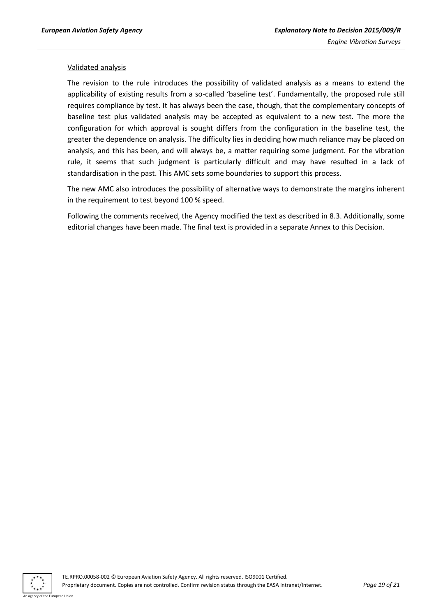#### Validated analysis

The revision to the rule introduces the possibility of validated analysis as a means to extend the applicability of existing results from a so-called 'baseline test'. Fundamentally, the proposed rule still requires compliance by test. It has always been the case, though, that the complementary concepts of baseline test plus validated analysis may be accepted as equivalent to a new test. The more the configuration for which approval is sought differs from the configuration in the baseline test, the greater the dependence on analysis. The difficulty lies in deciding how much reliance may be placed on analysis, and this has been, and will always be, a matter requiring some judgment. For the vibration rule, it seems that such judgment is particularly difficult and may have resulted in a lack of standardisation in the past. This AMC sets some boundaries to support this process.

The new AMC also introduces the possibility of alternative ways to demonstrate the margins inherent in the requirement to test beyond 100 % speed.

Following the comments received, the Agency modified the text as described in 8.3. Additionally, some editorial changes have been made. The final text is provided in a separate Annex to this Decision.

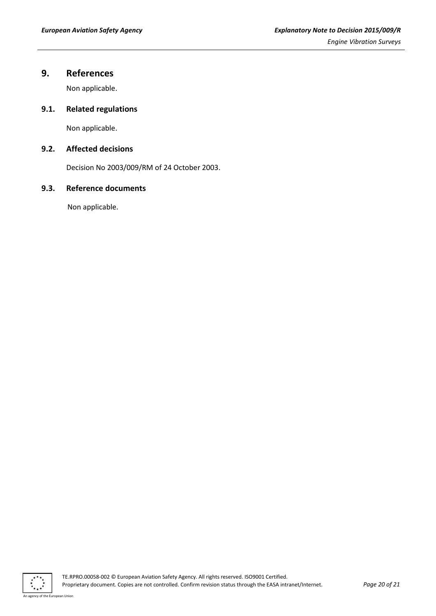# <span id="page-19-0"></span>**9. References**

Non applicable.

### <span id="page-19-1"></span>**9.1. Related regulations**

Non applicable.

### <span id="page-19-2"></span>**9.2. Affected decisions**

Decision No 2003/009/RM of 24 October 2003.

#### <span id="page-19-3"></span>**9.3. Reference documents**

Non applicable.